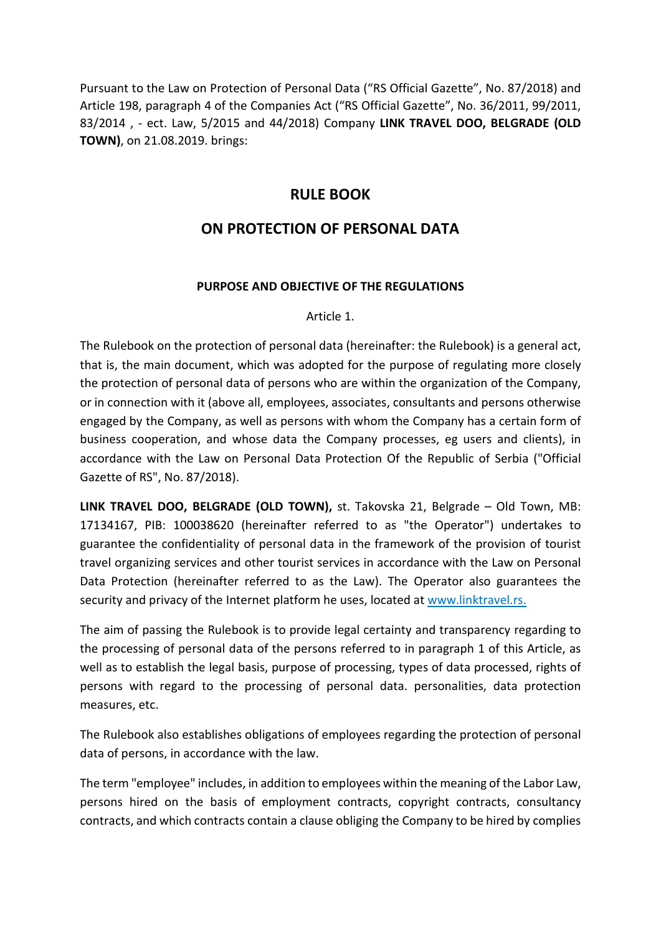Pursuant to the Law on Protection of Personal Data ("RS Official Gazette", No. 87/2018) and Article 198, paragraph 4 of the Companies Act ("RS Official Gazette", No. 36/2011, 99/2011, 83/2014 , - ect. Law, 5/2015 and 44/2018) Company LINK TRAVEL DOO, BELGRADE (OLD TOWN), on 21.08.2019. brings:

## RULE BOOK

# ON PROTECTION OF PERSONAL DATA

### PURPOSE AND OBJECTIVE OF THE REGULATIONS

#### Article 1.

The Rulebook on the protection of personal data (hereinafter: the Rulebook) is a general act, that is, the main document, which was adopted for the purpose of regulating more closely the protection of personal data of persons who are within the organization of the Company, or in connection with it (above all, employees, associates, consultants and persons otherwise engaged by the Company, as well as persons with whom the Company has a certain form of business cooperation, and whose data the Company processes, eg users and clients), in accordance with the Law on Personal Data Protection Of the Republic of Serbia ("Official Gazette of RS", No. 87/2018).

LINK TRAVEL DOO, BELGRADE (OLD TOWN), st. Takovska 21, Belgrade – Old Town, MB: 17134167, PIB: 100038620 (hereinafter referred to as "the Operator") undertakes to guarantee the confidentiality of personal data in the framework of the provision of tourist travel organizing services and other tourist services in accordance with the Law on Personal Data Protection (hereinafter referred to as the Law). The Operator also guarantees the security and privacy of the Internet platform he uses, located at www.linktravel.rs.

The aim of passing the Rulebook is to provide legal certainty and transparency regarding to the processing of personal data of the persons referred to in paragraph 1 of this Article, as well as to establish the legal basis, purpose of processing, types of data processed, rights of persons with regard to the processing of personal data. personalities, data protection measures, etc.

The Rulebook also establishes obligations of employees regarding the protection of personal data of persons, in accordance with the law.

The term "employee" includes, in addition to employees within the meaning of the Labor Law, persons hired on the basis of employment contracts, copyright contracts, consultancy contracts, and which contracts contain a clause obliging the Company to be hired by complies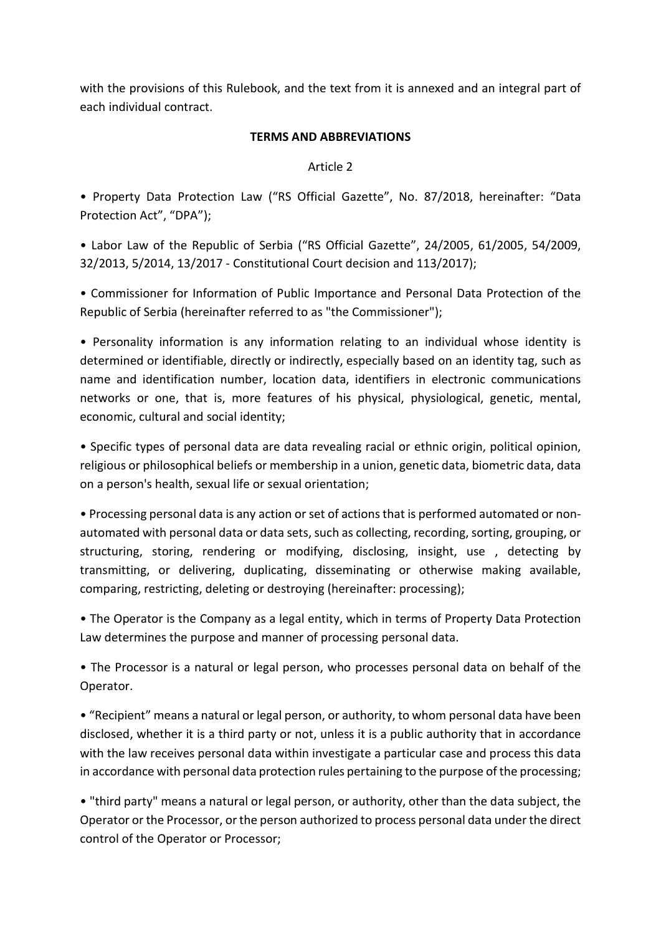with the provisions of this Rulebook, and the text from it is annexed and an integral part of each individual contract.

### TERMS AND ABBREVIATIONS

### Article 2

• Property Data Protection Law ("RS Official Gazette", No. 87/2018, hereinafter: "Data Protection Act", "DPA");

• Labor Law of the Republic of Serbia ("RS Official Gazette", 24/2005, 61/2005, 54/2009, 32/2013, 5/2014, 13/2017 - Constitutional Court decision and 113/2017);

• Commissioner for Information of Public Importance and Personal Data Protection of the Republic of Serbia (hereinafter referred to as "the Commissioner");

• Personality information is any information relating to an individual whose identity is determined or identifiable, directly or indirectly, especially based on an identity tag, such as name and identification number, location data, identifiers in electronic communications networks or one, that is, more features of his physical, physiological, genetic, mental, economic, cultural and social identity;

• Specific types of personal data are data revealing racial or ethnic origin, political opinion, religious or philosophical beliefs or membership in a union, genetic data, biometric data, data on a person's health, sexual life or sexual orientation;

• Processing personal data is any action or set of actions that is performed automated or nonautomated with personal data or data sets, such as collecting, recording, sorting, grouping, or structuring, storing, rendering or modifying, disclosing, insight, use , detecting by transmitting, or delivering, duplicating, disseminating or otherwise making available, comparing, restricting, deleting or destroying (hereinafter: processing);

• The Operator is the Company as a legal entity, which in terms of Property Data Protection Law determines the purpose and manner of processing personal data.

• The Processor is a natural or legal person, who processes personal data on behalf of the Operator.

• "Recipient" means a natural or legal person, or authority, to whom personal data have been disclosed, whether it is a third party or not, unless it is a public authority that in accordance with the law receives personal data within investigate a particular case and process this data in accordance with personal data protection rules pertaining to the purpose of the processing;

• "third party" means a natural or legal person, or authority, other than the data subject, the Operator or the Processor, or the person authorized to process personal data under the direct control of the Operator or Processor;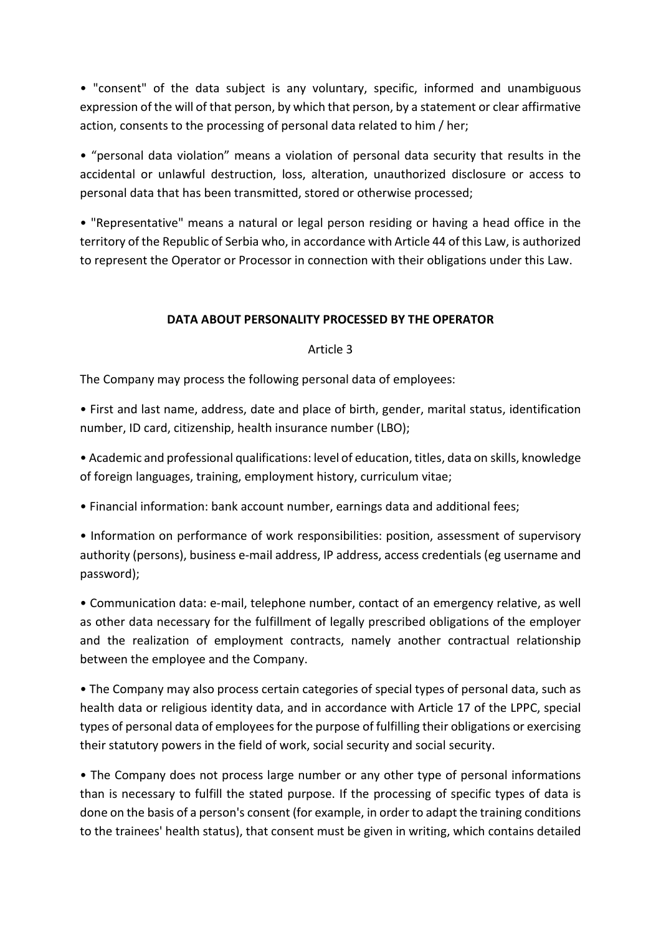• "consent" of the data subject is any voluntary, specific, informed and unambiguous expression of the will of that person, by which that person, by a statement or clear affirmative action, consents to the processing of personal data related to him / her;

• "personal data violation" means a violation of personal data security that results in the accidental or unlawful destruction, loss, alteration, unauthorized disclosure or access to personal data that has been transmitted, stored or otherwise processed;

• "Representative" means a natural or legal person residing or having a head office in the territory of the Republic of Serbia who, in accordance with Article 44 of this Law, is authorized to represent the Operator or Processor in connection with their obligations under this Law.

### DATA ABOUT PERSONALITY PROCESSED BY THE OPERATOR

#### Article 3

The Company may process the following personal data of employees:

• First and last name, address, date and place of birth, gender, marital status, identification number, ID card, citizenship, health insurance number (LBO);

• Academic and professional qualifications: level of education, titles, data on skills, knowledge of foreign languages, training, employment history, curriculum vitae;

• Financial information: bank account number, earnings data and additional fees;

• Information on performance of work responsibilities: position, assessment of supervisory authority (persons), business e-mail address, IP address, access credentials (eg username and password);

• Communication data: e-mail, telephone number, contact of an emergency relative, as well as other data necessary for the fulfillment of legally prescribed obligations of the employer and the realization of employment contracts, namely another contractual relationship between the employee and the Company.

• The Company may also process certain categories of special types of personal data, such as health data or religious identity data, and in accordance with Article 17 of the LPPC, special types of personal data of employees for the purpose of fulfilling their obligations or exercising their statutory powers in the field of work, social security and social security.

• The Company does not process large number or any other type of personal informations than is necessary to fulfill the stated purpose. If the processing of specific types of data is done on the basis of a person's consent (for example, in order to adapt the training conditions to the trainees' health status), that consent must be given in writing, which contains detailed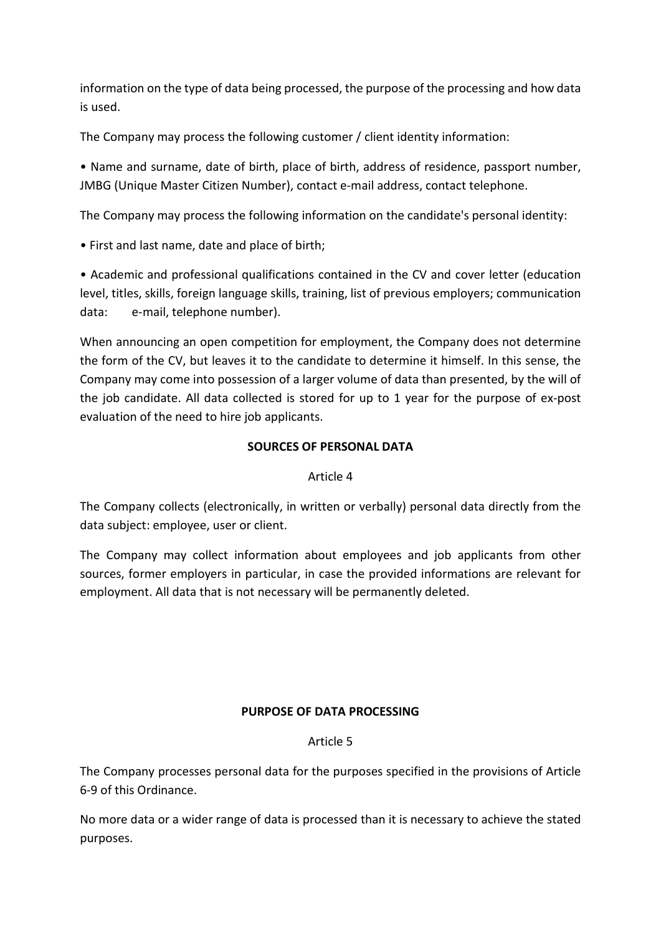information on the type of data being processed, the purpose of the processing and how data is used.

The Company may process the following customer / client identity information:

• Name and surname, date of birth, place of birth, address of residence, passport number, JMBG (Unique Master Citizen Number), contact e-mail address, contact telephone.

The Company may process the following information on the candidate's personal identity:

• First and last name, date and place of birth;

• Academic and professional qualifications contained in the CV and cover letter (education level, titles, skills, foreign language skills, training, list of previous employers; communication data: e-mail, telephone number).

When announcing an open competition for employment, the Company does not determine the form of the CV, but leaves it to the candidate to determine it himself. In this sense, the Company may come into possession of a larger volume of data than presented, by the will of the job candidate. All data collected is stored for up to 1 year for the purpose of ex-post evaluation of the need to hire job applicants.

## SOURCES OF PERSONAL DATA

## Article 4

The Company collects (electronically, in written or verbally) personal data directly from the data subject: employee, user or client.

The Company may collect information about employees and job applicants from other sources, former employers in particular, in case the provided informations are relevant for employment. All data that is not necessary will be permanently deleted.

## PURPOSE OF DATA PROCESSING

## Article 5

The Company processes personal data for the purposes specified in the provisions of Article 6-9 of this Ordinance.

No more data or a wider range of data is processed than it is necessary to achieve the stated purposes.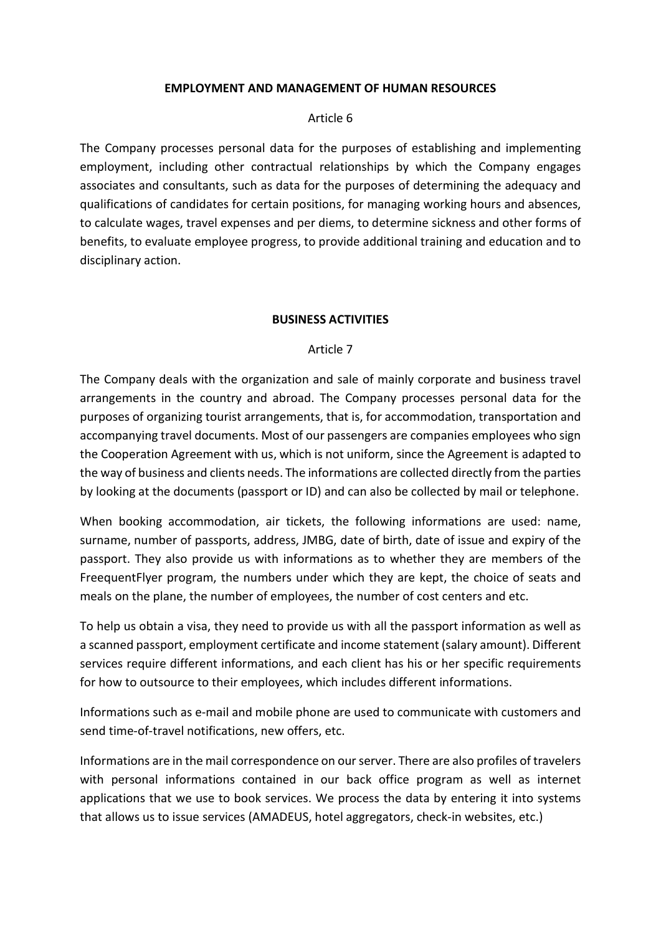#### EMPLOYMENT AND MANAGEMENT OF HUMAN RESOURCES

#### Article 6

The Company processes personal data for the purposes of establishing and implementing employment, including other contractual relationships by which the Company engages associates and consultants, such as data for the purposes of determining the adequacy and qualifications of candidates for certain positions, for managing working hours and absences, to calculate wages, travel expenses and per diems, to determine sickness and other forms of benefits, to evaluate employee progress, to provide additional training and education and to disciplinary action.

#### BUSINESS ACTIVITIES

#### Article 7

The Company deals with the organization and sale of mainly corporate and business travel arrangements in the country and abroad. The Company processes personal data for the purposes of organizing tourist arrangements, that is, for accommodation, transportation and accompanying travel documents. Most of our passengers are companies employees who sign the Cooperation Agreement with us, which is not uniform, since the Agreement is adapted to the way of business and clients needs. The informations are collected directly from the parties by looking at the documents (passport or ID) and can also be collected by mail or telephone.

When booking accommodation, air tickets, the following informations are used: name, surname, number of passports, address, JMBG, date of birth, date of issue and expiry of the passport. They also provide us with informations as to whether they are members of the FreequentFlyer program, the numbers under which they are kept, the choice of seats and meals on the plane, the number of employees, the number of cost centers and etc.

To help us obtain a visa, they need to provide us with all the passport information as well as a scanned passport, employment certificate and income statement (salary amount). Different services require different informations, and each client has his or her specific requirements for how to outsource to their employees, which includes different informations.

Informations such as e-mail and mobile phone are used to communicate with customers and send time-of-travel notifications, new offers, etc.

Informations are in the mail correspondence on our server. There are also profiles of travelers with personal informations contained in our back office program as well as internet applications that we use to book services. We process the data by entering it into systems that allows us to issue services (AMADEUS, hotel aggregators, check-in websites, etc.)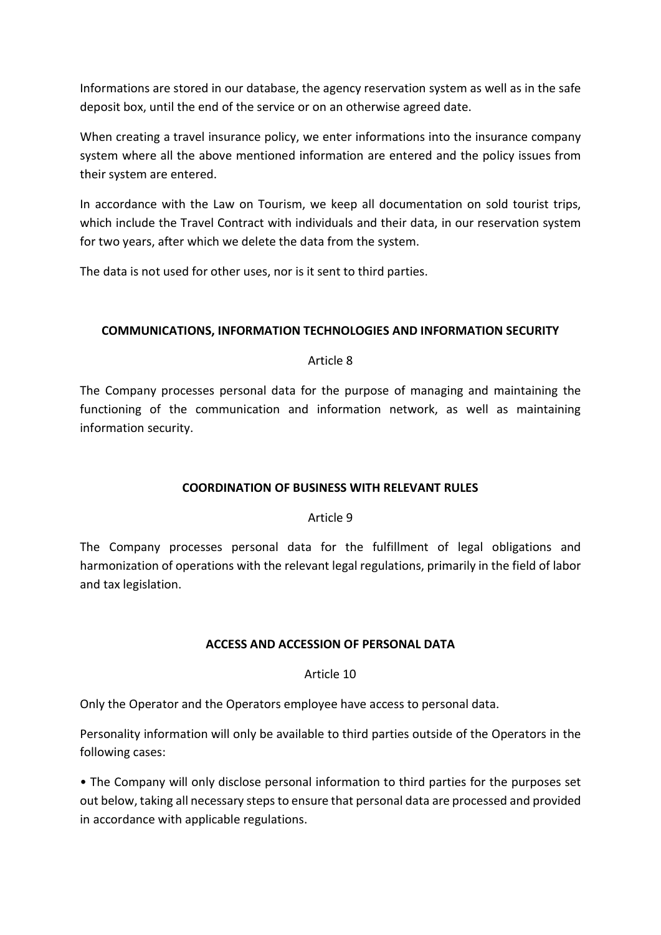Informations are stored in our database, the agency reservation system as well as in the safe deposit box, until the end of the service or on an otherwise agreed date.

When creating a travel insurance policy, we enter informations into the insurance company system where all the above mentioned information are entered and the policy issues from their system are entered.

In accordance with the Law on Tourism, we keep all documentation on sold tourist trips, which include the Travel Contract with individuals and their data, in our reservation system for two years, after which we delete the data from the system.

The data is not used for other uses, nor is it sent to third parties.

## COMMUNICATIONS, INFORMATION TECHNOLOGIES AND INFORMATION SECURITY

#### Article 8

The Company processes personal data for the purpose of managing and maintaining the functioning of the communication and information network, as well as maintaining information security.

#### COORDINATION OF BUSINESS WITH RELEVANT RULES

#### Article 9

The Company processes personal data for the fulfillment of legal obligations and harmonization of operations with the relevant legal regulations, primarily in the field of labor and tax legislation.

#### ACCESS AND ACCESSION OF PERSONAL DATA

## Article 10

Only the Operator and the Operators employee have access to personal data.

Personality information will only be available to third parties outside of the Operators in the following cases:

• The Company will only disclose personal information to third parties for the purposes set out below, taking all necessary steps to ensure that personal data are processed and provided in accordance with applicable regulations.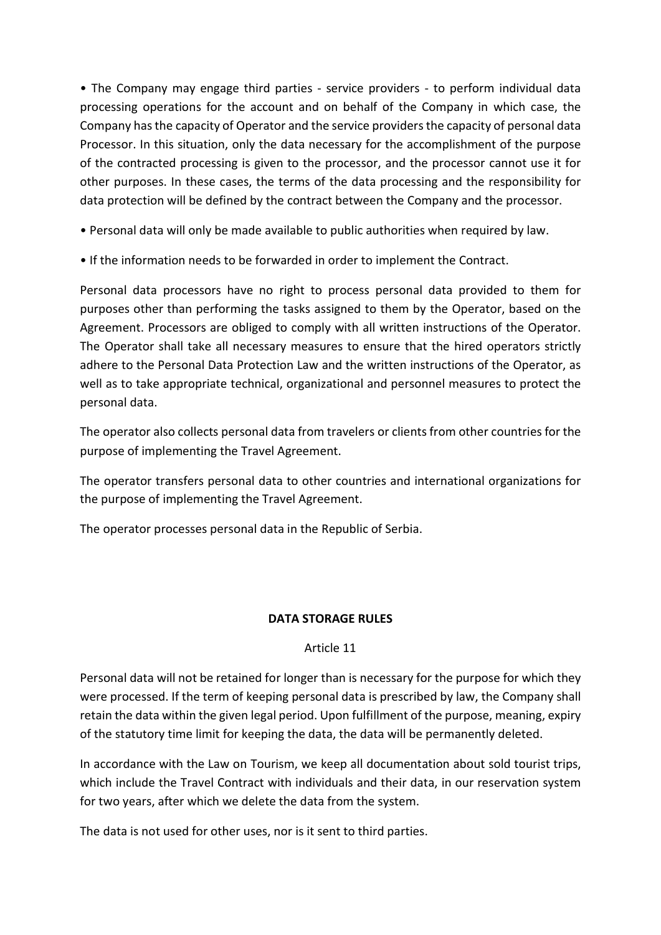• The Company may engage third parties - service providers - to perform individual data processing operations for the account and on behalf of the Company in which case, the Company has the capacity of Operator and the service providers the capacity of personal data Processor. In this situation, only the data necessary for the accomplishment of the purpose of the contracted processing is given to the processor, and the processor cannot use it for other purposes. In these cases, the terms of the data processing and the responsibility for data protection will be defined by the contract between the Company and the processor.

• Personal data will only be made available to public authorities when required by law.

• If the information needs to be forwarded in order to implement the Contract.

Personal data processors have no right to process personal data provided to them for purposes other than performing the tasks assigned to them by the Operator, based on the Agreement. Processors are obliged to comply with all written instructions of the Operator. The Operator shall take all necessary measures to ensure that the hired operators strictly adhere to the Personal Data Protection Law and the written instructions of the Operator, as well as to take appropriate technical, organizational and personnel measures to protect the personal data.

The operator also collects personal data from travelers or clients from other countries for the purpose of implementing the Travel Agreement.

The operator transfers personal data to other countries and international organizations for the purpose of implementing the Travel Agreement.

The operator processes personal data in the Republic of Serbia.

## DATA STORAGE RULES

#### Article 11

Personal data will not be retained for longer than is necessary for the purpose for which they were processed. If the term of keeping personal data is prescribed by law, the Company shall retain the data within the given legal period. Upon fulfillment of the purpose, meaning, expiry of the statutory time limit for keeping the data, the data will be permanently deleted.

In accordance with the Law on Tourism, we keep all documentation about sold tourist trips, which include the Travel Contract with individuals and their data, in our reservation system for two years, after which we delete the data from the system.

The data is not used for other uses, nor is it sent to third parties.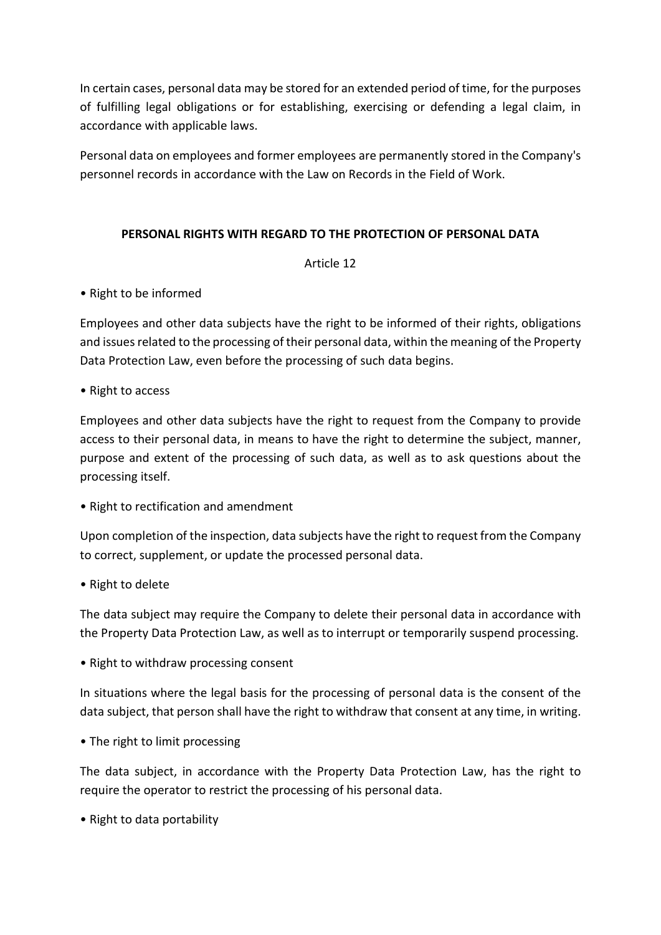In certain cases, personal data may be stored for an extended period of time, for the purposes of fulfilling legal obligations or for establishing, exercising or defending a legal claim, in accordance with applicable laws.

Personal data on employees and former employees are permanently stored in the Company's personnel records in accordance with the Law on Records in the Field of Work.

## PERSONAL RIGHTS WITH REGARD TO THE PROTECTION OF PERSONAL DATA

## Article 12

• Right to be informed

Employees and other data subjects have the right to be informed of their rights, obligations and issues related to the processing of their personal data, within the meaning of the Property Data Protection Law, even before the processing of such data begins.

• Right to access

Employees and other data subjects have the right to request from the Company to provide access to their personal data, in means to have the right to determine the subject, manner, purpose and extent of the processing of such data, as well as to ask questions about the processing itself.

• Right to rectification and amendment

Upon completion of the inspection, data subjects have the right to request from the Company to correct, supplement, or update the processed personal data.

• Right to delete

The data subject may require the Company to delete their personal data in accordance with the Property Data Protection Law, as well as to interrupt or temporarily suspend processing.

• Right to withdraw processing consent

In situations where the legal basis for the processing of personal data is the consent of the data subject, that person shall have the right to withdraw that consent at any time, in writing.

• The right to limit processing

The data subject, in accordance with the Property Data Protection Law, has the right to require the operator to restrict the processing of his personal data.

• Right to data portability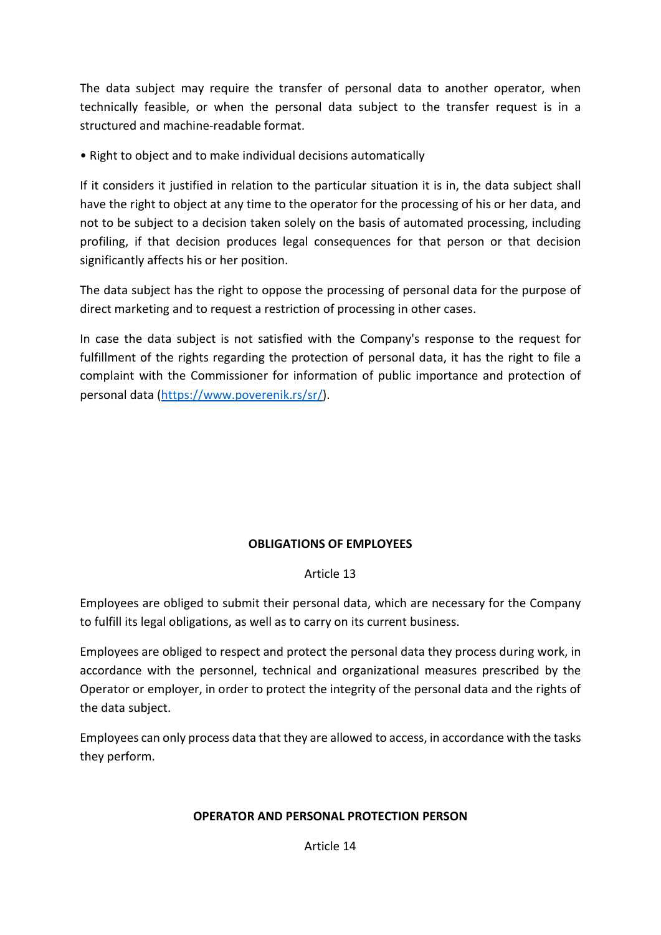The data subject may require the transfer of personal data to another operator, when technically feasible, or when the personal data subject to the transfer request is in a structured and machine-readable format.

• Right to object and to make individual decisions automatically

If it considers it justified in relation to the particular situation it is in, the data subject shall have the right to object at any time to the operator for the processing of his or her data, and not to be subject to a decision taken solely on the basis of automated processing, including profiling, if that decision produces legal consequences for that person or that decision significantly affects his or her position.

The data subject has the right to oppose the processing of personal data for the purpose of direct marketing and to request a restriction of processing in other cases.

In case the data subject is not satisfied with the Company's response to the request for fulfillment of the rights regarding the protection of personal data, it has the right to file a complaint with the Commissioner for information of public importance and protection of personal data (https://www.poverenik.rs/sr/).

# OBLIGATIONS OF EMPLOYEES

## Article 13

Employees are obliged to submit their personal data, which are necessary for the Company to fulfill its legal obligations, as well as to carry on its current business.

Employees are obliged to respect and protect the personal data they process during work, in accordance with the personnel, technical and organizational measures prescribed by the Operator or employer, in order to protect the integrity of the personal data and the rights of the data subject.

Employees can only process data that they are allowed to access, in accordance with the tasks they perform.

## OPERATOR AND PERSONAL PROTECTION PERSON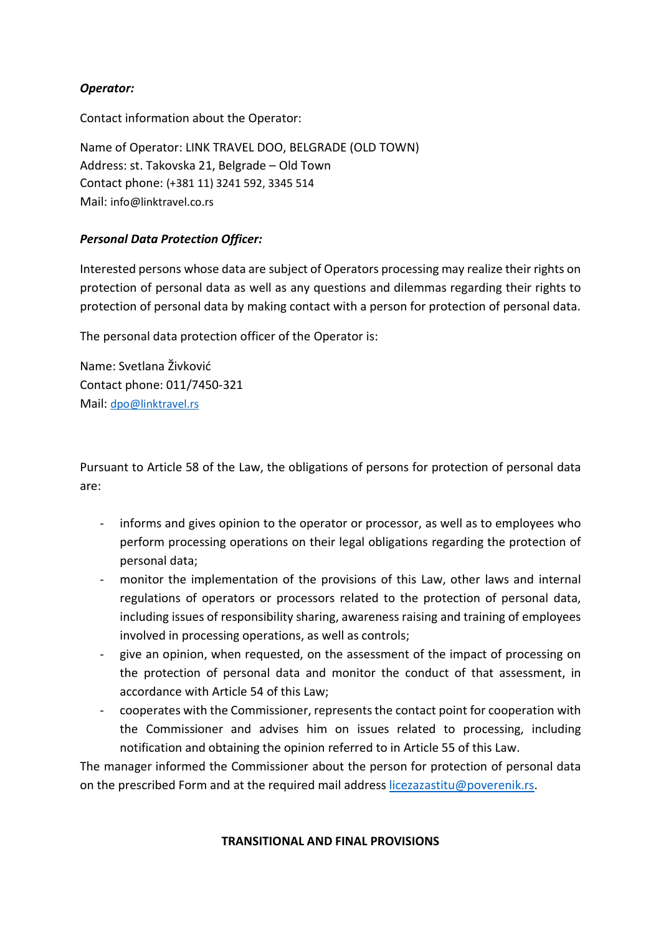## Operator:

Contact information about the Operator:

Name of Operator: LINK TRAVEL DOO, BELGRADE (OLD TOWN) Address: st. Takovska 21, Belgrade – Old Town Contact phone: (+381 11) 3241 592, 3345 514 Mail: info@linktravel.co.rs

## Personal Data Protection Officer:

Interested persons whose data are subject of Operators processing may realize their rights on protection of personal data as well as any questions and dilemmas regarding their rights to protection of personal data by making contact with a person for protection of personal data.

The personal data protection officer of the Operator is:

Name: Svetlana Živković Contact phone: 011/7450-321 Mail: dpo@linktravel.rs

Pursuant to Article 58 of the Law, the obligations of persons for protection of personal data are:

- informs and gives opinion to the operator or processor, as well as to employees who perform processing operations on their legal obligations regarding the protection of personal data;
- monitor the implementation of the provisions of this Law, other laws and internal regulations of operators or processors related to the protection of personal data, including issues of responsibility sharing, awareness raising and training of employees involved in processing operations, as well as controls;
- give an opinion, when requested, on the assessment of the impact of processing on the protection of personal data and monitor the conduct of that assessment, in accordance with Article 54 of this Law;
- cooperates with the Commissioner, represents the contact point for cooperation with the Commissioner and advises him on issues related to processing, including notification and obtaining the opinion referred to in Article 55 of this Law.

The manager informed the Commissioner about the person for protection of personal data on the prescribed Form and at the required mail address licezazastitu@poverenik.rs.

#### TRANSITIONAL AND FINAL PROVISIONS